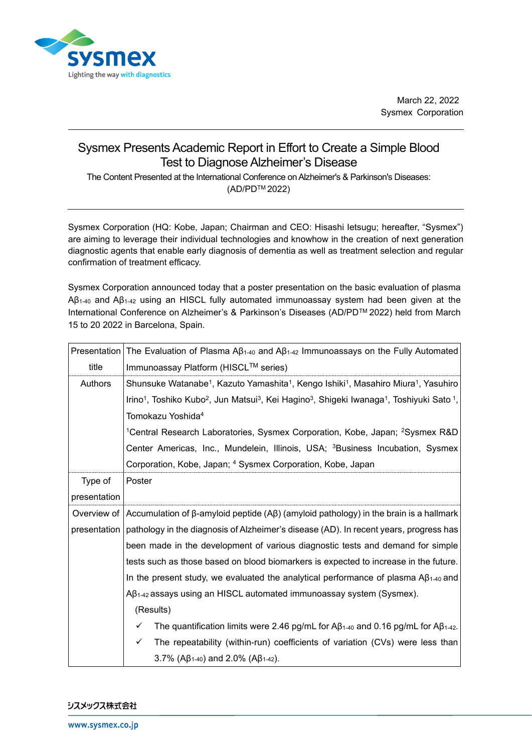

March 22, 2022 Sysmex Corporation

## Sysmex Presents Academic Report in Effort to Create a Simple Blood Test to Diagnose Alzheimer's Disease

The Content Presented at the International Conference on Alzheimer's & Parkinson's Diseases: (AD/PDTM 2022)

Sysmex Corporation (HQ: Kobe, Japan; Chairman and CEO: Hisashi Ietsugu; hereafter, "Sysmex") are aiming to leverage their individual technologies and knowhow in the creation of next generation diagnostic agents that enable early diagnosis of dementia as well as treatment selection and regular confirmation of treatment efficacy.

Sysmex Corporation announced today that a poster presentation on the basic evaluation of plasma Aβ1-40 and Aβ1-42 using an HISCL fully automated immunoassay system had been given at the International Conference on Alzheimer's & Parkinson's Diseases (AD/PDTM 2022) held from March 15 to 20 2022 in Barcelona, Spain.

| Presentation | The Evaluation of Plasma A $\beta_{1\text{-}40}$ and A $\beta_{1\text{-}42}$ Immunoassays on the Fully Automated                                                  |
|--------------|-------------------------------------------------------------------------------------------------------------------------------------------------------------------|
| title        | Immunoassay Platform (HISCL™ series)                                                                                                                              |
| Authors      | Shunsuke Watanabe <sup>1</sup> , Kazuto Yamashita <sup>1</sup> , Kengo Ishiki <sup>1</sup> , Masahiro Miura <sup>1</sup> , Yasuhiro                               |
|              | Irino <sup>1</sup> , Toshiko Kubo <sup>2</sup> , Jun Matsui <sup>3</sup> , Kei Hagino <sup>3</sup> , Shigeki Iwanaga <sup>1</sup> , Toshiyuki Sato <sup>1</sup> , |
|              | Tomokazu Yoshida <sup>4</sup>                                                                                                                                     |
|              | <sup>1</sup> Central Research Laboratories, Sysmex Corporation, Kobe, Japan; <sup>2</sup> Sysmex R&D                                                              |
|              | Center Americas, Inc., Mundelein, Illinois, USA; <sup>3</sup> Business Incubation, Sysmex                                                                         |
|              | Corporation, Kobe, Japan; 4 Sysmex Corporation, Kobe, Japan                                                                                                       |
| Type of      | Poster                                                                                                                                                            |
| presentation |                                                                                                                                                                   |
|              | Overview of   Accumulation of β-amyloid peptide $($ Aβ $)$ (amyloid pathology) in the brain is a hallmark                                                         |
|              | presentation   pathology in the diagnosis of Alzheimer's disease (AD). In recent years, progress has                                                              |
|              | been made in the development of various diagnostic tests and demand for simple                                                                                    |
|              | tests such as those based on blood biomarkers is expected to increase in the future.                                                                              |
|              | In the present study, we evaluated the analytical performance of plasma $A\beta_{1-40}$ and                                                                       |
|              | $A\beta_{1-42}$ assays using an HISCL automated immunoassay system (Sysmex).                                                                                      |
|              | (Results)                                                                                                                                                         |
|              | The quantification limits were 2.46 pg/mL for $\mathsf{AB}_{1\text{-}40}$ and 0.16 pg/mL for $\mathsf{AB}_{1\text{-}42}$ .<br>✓                                   |
|              | The repeatability (within-run) coefficients of variation (CVs) were less than<br>✓                                                                                |
|              | 3.7% ( $AB_{1-40}$ ) and 2.0% ( $AB_{1-42}$ ).                                                                                                                    |